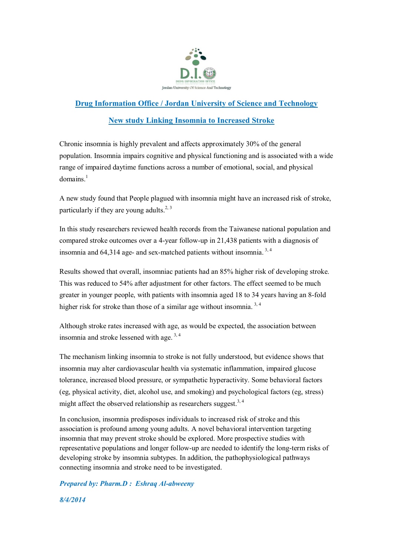

## **Drug Information Office / Jordan University of Science and Technology**

## **New study Linking Insomnia to Increased Stroke**

Chronic insomnia is highly prevalent and affects approximately 30% of the general population. Insomnia impairs cognitive and physical functioning and is associated with a wide range of impaired daytime functions across a number of emotional, social, and physical domains. 1

A new study found that People plagued with [insomnia](http://www.webmd.com/sleep-disorders/guide/insomnia-symptoms-and-causes) might have an increased risk of [stroke,](http://www.webmd.com/stroke/default.htm) particularly if they are young adults.<sup>2, 3</sup>

In this study researchers reviewed health records from the Taiwanese national population and compared stroke outcomes over a 4-year follow-up in 21,438 patients with a diagnosis of insomnia and 64,314 age- and sex-matched patients without insomnia. 3, <sup>4</sup>

Results showed that overall, insomniac patients had an 85% higher risk of developing stroke. This was reduced to 54% after adjustment for other factors. The effect seemed to be much greater in younger people, with patients with insomnia aged 18 to 34 years having an 8-fold higher risk for stroke than those of a similar age without insomnia.<sup>3, 4</sup>

Although stroke rates increased with age, as would be expected, the association between insomnia and stroke lessened with age.<sup>3,4</sup>

The mechanism linking insomnia to stroke is not fully understood, but evidence shows that insomnia may alter cardiovascular health via systematic inflammation, impaired glucose tolerance, increased blood pressure, or sympathetic hyperactivity. Some behavioral factors (eg, physical activity, diet, alcohol use, and smoking) and psychological factors (eg, stress) might affect the observed relationship as researchers suggest.<sup>3, 4</sup>

In conclusion, insomnia predisposes individuals to increased risk of stroke and this association is profound among young adults. A novel behavioral intervention targeting insomnia that may prevent stroke should be explored. More prospective studies with representative populations and longer follow-up are needed to identify the long-term risks of developing stroke by insomnia subtypes. In addition, the pathophysiological pathways connecting insomnia and stroke need to be investigated.

*Prepared by: Pharm.D : Eshraq Al-abweeny 8/4/2014*